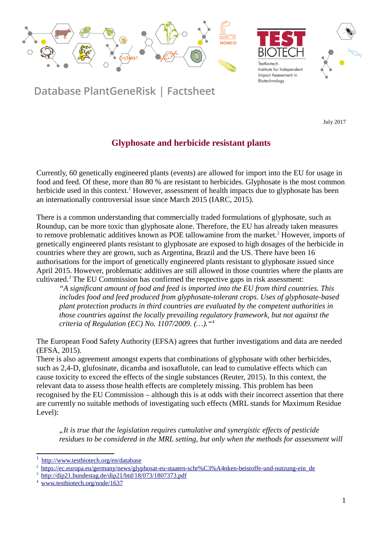





Database PlantGeneRisk | Factsheet

July 2017

## **Glyphosate and herbicide resistant plants**

Currently, 60 genetically engineered plants (events) are allowed for import into the EU for usage in food and feed. Of these, more than 80 % are resistant to herbicides. Glyphosate is the most common herbicide used in this context.<sup>[1](#page-0-0)</sup> However, assessment of health impacts due to glyphosate has been an internationally controversial issue since March 2015 (IARC, 2015).

There is a common understanding that commercially traded formulations of glyphosate, such as Roundup, can be more toxic than glyphosate alone. Therefore, the EU has already taken measures to remove problematic additives known as POE tallowamine from the market.<sup>[2](#page-0-1)</sup> However, imports of genetically engineered plants resistant to glyphosate are exposed to high dosages of the herbicide in countries where they are grown, such as Argentina, Brazil and the US. There have been 16 authorisations for the import of genetically engineered plants resistant to glyphosate issued since April 2015. However, problematic additives are still allowed in those countries where the plants are cultivated.[3](#page-0-2) The EU Commission has confirmed the respective gaps in risk assessment:

*"A significant amount of food and feed is imported into the EU from third countries. This includes food and feed produced from glyphosate-tolerant crops. Uses of glyphosate-based plant protection products in third countries are evaluated by the competent authorities in those countries against the locally prevailing regulatory framework, but not against the criteria of Regulation (EC) No. 1107/2009. (…)."[4](#page-0-3)*

The European Food Safety Authority (EFSA) agrees that further investigations and data are needed (EFSA, 2015).

There is also agreement amongst experts that combinations of glyphosate with other herbicides, such as 2,4-D, glufosinate, dicamba and isoxaflutole, can lead to cumulative effects which can cause toxicity to exceed the effects of the single substances (Reuter, 2015). In this context, the relevant data to assess those health effects are completely missing. This problem has been recognised by the EU Commission – although this is at odds with their incorrect assertion that there are currently no suitable methods of investigating such effects (MRL stands for Maximum Residue Level):

*"It is true that the legislation requires cumulative and synergistic effects of pesticide residues to be considered in the MRL setting, but only when the methods for assessment will* 

<span id="page-0-0"></span><sup>1</sup> http://www.testbiotech.org/en/database

<span id="page-0-1"></span><sup>2</sup>[https://ec.europa.eu/germany/news/glyphosat-eu-staaten-schr%C3%A4nken-beistoffe-und-nutzung-ein\\_de](https://ec.europa.eu/germany/news/glyphosat-eu-staaten-schr%C3%A4nken-beistoffe-und-nutzung-ein_de)

<span id="page-0-2"></span><sup>&</sup>lt;sup>3</sup> <http://dip21.bundestag.de/dip21/btd/18/073/1807373.pdf>

<span id="page-0-3"></span><sup>&</sup>lt;sup>4</sup> [www.testbiotech.org/node/1637](http://www.testbiotech.org/node/1637)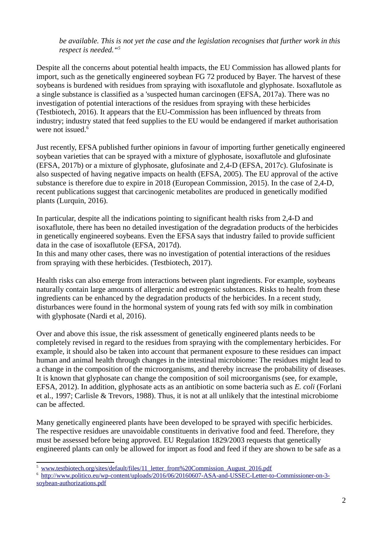*be available. This is not yet the case and the legislation recognises that further work in this respect is needed."[5](#page-1-0)*

Despite all the concerns about potential health impacts, the EU Commission has allowed plants for import, such as the genetically engineered soybean FG 72 produced by Bayer. The harvest of these soybeans is burdened with residues from spraying with isoxaflutole and glyphosate. Isoxaflutole as a single substance is classified as a 'suspected human carcinogen (EFSA, 2017a). There was no investigation of potential interactions of the residues from spraying with these herbicides (Testbiotech, 2016). It appears that the EU-Commission has been influenced by threats from industry; industry stated that feed supplies to the EU would be endangered if market authorisation were not issued.<sup>[6](#page-1-1)</sup>

Just recently, EFSA published further opinions in favour of importing further genetically engineered soybean varieties that can be sprayed with a mixture of glyphosate, isoxaflutole and glufosinate (EFSA, 2017b) or a mixture of glyphosate, glufosinate and 2,4-D (EFSA, 2017c). Glufosinate is also suspected of having negative impacts on health (EFSA, 2005). The EU approval of the active substance is therefore due to expire in 2018 (European Commission, 2015). In the case of 2,4-D, recent publications suggest that carcinogenic metabolites are produced in genetically modified plants (Lurquin, 2016).

In particular, despite all the indications pointing to significant health risks from 2,4-D and isoxaflutole, there has been no detailed investigation of the degradation products of the herbicides in genetically engineered soybeans. Even the EFSA says that industry failed to provide sufficient data in the case of isoxaflutole (EFSA, 2017d).

In this and many other cases, there was no investigation of potential interactions of the residues from spraying with these herbicides. (Testbiotech, 2017).

Health risks can also emerge from interactions between plant ingredients. For example, soybeans naturally contain large amounts of allergenic and estrogenic substances. Risks to health from these ingredients can be enhanced by the degradation products of the herbicides. In a recent study, disturbances were found in the hormonal system of young rats fed with soy milk in combination with glyphosate (Nardi et al, 2016).

Over and above this issue, the risk assessment of genetically engineered plants needs to be completely revised in regard to the residues from spraying with the complementary herbicides. For example, it should also be taken into account that permanent exposure to these residues can impact human and animal health through changes in the intestinal microbiome: The residues might lead to a change in the composition of the microorganisms, and thereby increase the probability of diseases. It is known that glyphosate can change the composition of soil microorganisms (see, for example, EFSA, 2012). In addition, glyphosate acts as an antibiotic on some bacteria such as *E. coli* (Forlani et al., 1997; Carlisle & Trevors, 1988). Thus, it is not at all unlikely that the intestinal microbiome can be affected.

Many genetically engineered plants have been developed to be sprayed with specific herbicides. The respective residues are unavoidable constituents in derivative food and feed. Therefore, they must be assessed before being approved. EU Regulation 1829/2003 requests that genetically engineered plants can only be allowed for import as food and feed if they are shown to be safe as a

<span id="page-1-0"></span><sup>5</sup>[www.testbiotech.org/sites/default/files/11\\_letter\\_from%20Commission\\_August\\_2016.pdf](http://www.testbiotech.org/sites/default/files/11_letter_from%20Commission_August_2016.pdf)

<span id="page-1-1"></span><sup>6</sup> [http://www.politico.eu/wp-content/uploads/2016/06/20160607-ASA-and-USSEC-Letter-to-Commissioner-on-3](http://www.politico.eu/wp-content/uploads/2016/06/20160607-ASA-and-USSEC-Letter-to-Commissioner-on-3-soybean-authorizations.pdf) [soybean-authorizations.pdf](http://www.politico.eu/wp-content/uploads/2016/06/20160607-ASA-and-USSEC-Letter-to-Commissioner-on-3-soybean-authorizations.pdf)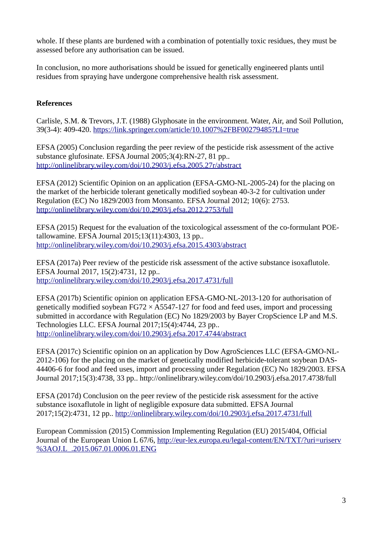whole. If these plants are burdened with a combination of potentially toxic residues, they must be assessed before any authorisation can be issued.

In conclusion, no more authorisations should be issued for genetically engineered plants until residues from spraying have undergone comprehensive health risk assessment.

## **References**

Carlisle, S.M. & Trevors, J.T. (1988) Glyphosate in the environment. Water, Air, and Soil Pollution, 39(3-4): 409-420.<https://link.springer.com/article/10.1007%2FBF00279485?LI=true>

EFSA (2005) Conclusion regarding the peer review of the pesticide risk assessment of the active substance glufosinate. EFSA Journal 2005;3(4):RN-27, 81 pp.. <http://onlinelibrary.wiley.com/doi/10.2903/j.efsa.2005.27r/abstract>

EFSA (2012) Scientific Opinion on an application (EFSA-GMO-NL-2005-24) for the placing on the market of the herbicide tolerant genetically modified soybean 40-3-2 for cultivation under Regulation (EC) No 1829/2003 from Monsanto. EFSA Journal 2012; 10(6): 2753. <http://onlinelibrary.wiley.com/doi/10.2903/j.efsa.2012.2753/full>

EFSA (2015) Request for the evaluation of the toxicological assessment of the co-formulant POEtallowamine. EFSA Journal 2015;13(11):4303, 13 pp.. <http://onlinelibrary.wiley.com/doi/10.2903/j.efsa.2015.4303/abstract>

EFSA (2017a) Peer review of the pesticide risk assessment of the active substance isoxaflutole. EFSA Journal 2017, 15(2):4731, 12 pp.. <http://onlinelibrary.wiley.com/doi/10.2903/j.efsa.2017.4731/full>

EFSA (2017b) Scientific opinion on application EFSA-GMO-NL-2013-120 for authorisation of genetically modified soybean  $FG72 \times A5547-127$  for food and feed uses, import and processing submitted in accordance with Regulation (EC) No 1829/2003 by Bayer CropScience LP and M.S. Technologies LLC. EFSA Journal 2017;15(4):4744, 23 pp.. <http://onlinelibrary.wiley.com/doi/10.2903/j.efsa.2017.4744/abstract>

EFSA (2017c) Scientific opinion on an application by Dow AgroSciences LLC (EFSA-GMO-NL-2012-106) for the placing on the market of genetically modified herbicide-tolerant soybean DAS-44406-6 for food and feed uses, import and processing under Regulation (EC) No 1829/2003. EFSA Journal 2017;15(3):4738, 33 pp.. http://onlinelibrary.wiley.com/doi/10.2903/j.efsa.2017.4738/full

EFSA (2017d) Conclusion on the peer review of the pesticide risk assessment for the active substance isoxaflutole in light of negligible exposure data submitted. EFSA Journal 2017;15(2):4731, 12 pp..<http://onlinelibrary.wiley.com/doi/10.2903/j.efsa.2017.4731/full>

European Commission (2015) Commission Implementing Regulation (EU) 2015/404, Official Journal of the European Union L 67/6, [http://eur-lex.europa.eu/legal-content/EN/TXT/?uri=uriserv](http://eur-lex.europa.eu/legal-content/EN/TXT/?uri=uriserv%3AOJ.L_.2015.067.01.0006.01.ENG) [%3AOJ.L\\_.2015.067.01.0006.01.ENG](http://eur-lex.europa.eu/legal-content/EN/TXT/?uri=uriserv%3AOJ.L_.2015.067.01.0006.01.ENG)